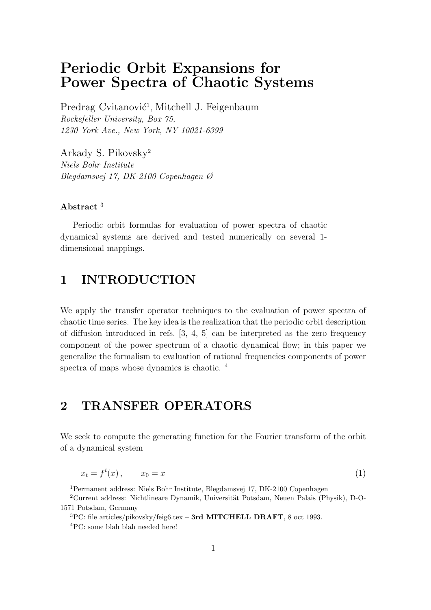# Periodic Orbit Expansions for Power Spectra of Chaotic Systems

Predrag Cvitanović<sup>1</sup>, Mitchell J. Feigenbaum Rockefeller University, Box 75, 1230 York Ave., New York, NY 10021-6399

Arkady S. Pikovsky<sup>2</sup> Niels Bohr Institute Blegdamsvej 17, DK-2100 Copenhagen Ø

#### Abstract<sup>3</sup>

Periodic orbit formulas for evaluation of power spectra of chaotic dynamical systems are derived and tested numerically on several 1 dimensional mappings.

# 1 INTRODUCTION

We apply the transfer operator techniques to the evaluation of power spectra of chaotic time series. The key idea is the realization that the periodic orbit description of diffusion introduced in refs. [3, 4, 5] can be interpreted as the zero frequency component of the power spectrum of a chaotic dynamical flow; in this paper we generalize the formalism to evaluation of rational frequencies components of power spectra of maps whose dynamics is chaotic.<sup>4</sup>

### 2 TRANSFER OPERATORS

We seek to compute the generating function for the Fourier transform of the orbit of a dynamical system

$$
x_t = f^t(x), \qquad x_0 = x \tag{1}
$$

<sup>1</sup>Permanent address: Niels Bohr Institute, Blegdamsvej 17, DK-2100 Copenhagen

 $2$ Current address: Nichtlineare Dynamik, Universität Potsdam, Neuen Palais (Physik), D-O-1571 Potsdam, Germany

 ${}^{3}$ PC: file articles/pikovsky/feig6.tex – 3rd MITCHELL DRAFT, 8 oct 1993. <sup>4</sup>PC: some blah blah needed here!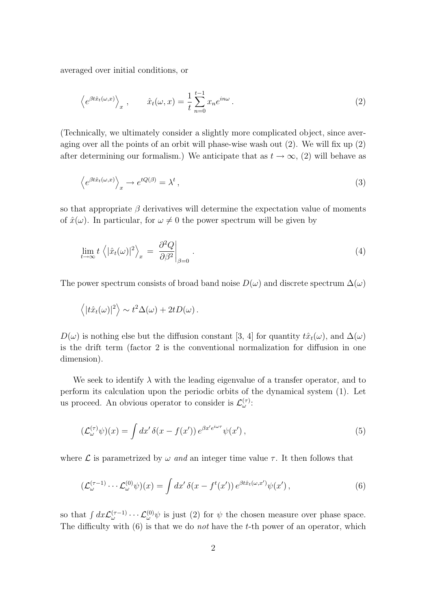averaged over initial conditions, or

$$
\left\langle e^{\beta t \hat{x}_t(\omega, x)} \right\rangle_x, \qquad \hat{x}_t(\omega, x) = \frac{1}{t} \sum_{n=0}^{t-1} x_n e^{in\omega}.
$$
 (2)

(Technically, we ultimately consider a slightly more complicated object, since averaging over all the points of an orbit will phase-wise wash out (2). We will fix up (2) after determining our formalism.) We anticipate that as  $t \to \infty$ , (2) will behave as

$$
\left\langle e^{\beta t \hat{x}_t(\omega, x)} \right\rangle_x \to e^{tQ(\beta)} = \lambda^t \,, \tag{3}
$$

so that appropriate  $\beta$  derivatives will determine the expectation value of moments of  $\hat{x}(\omega)$ . In particular, for  $\omega \neq 0$  the power spectrum will be given by

$$
\lim_{t \to \infty} t \left\langle |\hat{x}_t(\omega)|^2 \right\rangle_x = \left. \frac{\partial^2 Q}{\partial \beta^2} \right|_{\beta=0} . \tag{4}
$$

The power spectrum consists of broad band noise  $D(\omega)$  and discrete spectrum  $\Delta(\omega)$ 

$$
\langle |t\hat{x}_t(\omega)|^2 \rangle \sim t^2 \Delta(\omega) + 2tD(\omega).
$$

 $D(\omega)$  is nothing else but the diffusion constant [3, 4] for quantity  $\hat{t}x_t(\omega)$ , and  $\Delta(\omega)$ is the drift term (factor 2 is the conventional normalization for diffusion in one dimension).

We seek to identify  $\lambda$  with the leading eigenvalue of a transfer operator, and to perform its calculation upon the periodic orbits of the dynamical system (1). Let us proceed. An obvious operator to consider is  $\mathcal{L}^{(\tau)}_{\omega}$ :

$$
\left(\mathcal{L}_{\omega}^{(\tau)}\psi\right)(x) = \int dx' \,\delta(x - f(x'))\,e^{\beta x' e^{i\omega\tau}}\psi(x')\,,\tag{5}
$$

where  $\mathcal L$  is parametrized by  $\omega$  and an integer time value  $\tau$ . It then follows that

$$
\left(\mathcal{L}_{\omega}^{(\tau-1)}\cdots\mathcal{L}_{\omega}^{(0)}\psi\right)(x) = \int dx' \,\delta(x - f^t(x'))\,e^{\beta t \hat{x}_t(\omega, x')} \psi(x')\,,\tag{6}
$$

so that  $\int dx \mathcal{L}_{\omega}^{(\tau-1)} \cdots \mathcal{L}_{\omega}^{(0)} \psi$  is just (2) for  $\psi$  the chosen measure over phase space. The difficulty with  $(6)$  is that we do *not* have the t-th power of an operator, which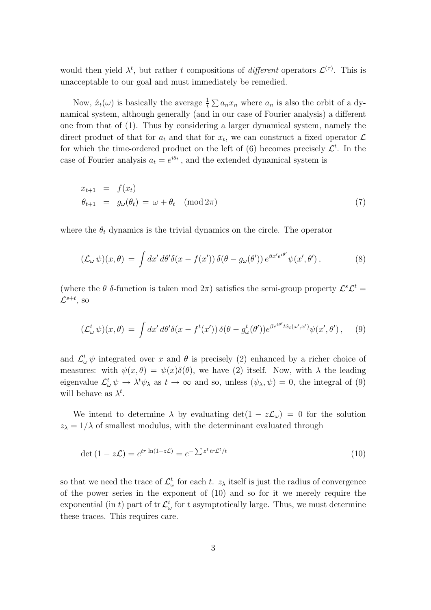would then yield  $\lambda^t$ , but rather t compositions of *different* operators  $\mathcal{L}^{(\tau)}$ . This is unacceptable to our goal and must immediately be remedied.

Now,  $\hat{x}_t(\omega)$  is basically the average  $\frac{1}{t} \sum a_n x_n$  where  $a_n$  is also the orbit of a dynamical system, although generally (and in our case of Fourier analysis) a different one from that of (1). Thus by considering a larger dynamical system, namely the direct product of that for  $a_t$  and that for  $x_t$ , we can construct a fixed operator  $\mathcal L$ for which the time-ordered product on the left of (6) becomes precisely  $\mathcal{L}^t$ . In the case of Fourier analysis  $a_t = e^{i\theta_t}$ , and the extended dynamical system is

$$
x_{t+1} = f(x_t)
$$
  
\n
$$
\theta_{t+1} = g_{\omega}(\theta_t) = \omega + \theta_t \pmod{2\pi}
$$
\n(7)

where the  $\theta_t$  dynamics is the trivial dynamics on the circle. The operator

$$
(\mathcal{L}_{\omega}\,\psi)(x,\theta) = \int dx' \,d\theta' \delta(x - f(x')) \,\delta(\theta - g_{\omega}(\theta')) \,e^{\beta x' e^{i\theta'}} \psi(x',\theta')\,,\tag{8}
$$

(where the  $\theta$  δ-function is taken mod  $2\pi$ ) satisfies the semi-group property  $\mathcal{L}^s \mathcal{L}^t$  $\mathcal{L}^{s+t},$  so

$$
(\mathcal{L}^t_\omega \,\psi)(x,\theta) = \int dx' \, d\theta' \delta(x - f^t(x')) \, \delta(\theta - g^t_\omega(\theta')) e^{\beta e^{i\theta'} t \hat{x}_t(\omega',x')} \psi(x',\theta'), \quad (9)
$$

and  $\mathcal{L}^t_\omega \psi$  integrated over x and  $\theta$  is precisely (2) enhanced by a richer choice of measures: with  $\psi(x,\theta) = \psi(x)\delta(\theta)$ , we have (2) itself. Now, with  $\lambda$  the leading eigenvalue  $\mathcal{L}^t_\omega \psi \to \lambda^t \psi_\lambda$  as  $t \to \infty$  and so, unless  $(\psi_\lambda, \psi) = 0$ , the integral of (9) will behave as  $\lambda^t$ .

We intend to determine  $\lambda$  by evaluating  $\det(1 - z\mathcal{L}_{\omega}) = 0$  for the solution  $z_{\lambda} = 1/\lambda$  of smallest modulus, with the determinant evaluated through

$$
\det (1 - z\mathcal{L}) = e^{tr \ln(1 - z\mathcal{L})} = e^{-\sum z^t tr\mathcal{L}^t/t}
$$
\n(10)

so that we need the trace of  $\mathcal{L}^t_\omega$  for each t.  $z_\lambda$  itself is just the radius of convergence of the power series in the exponent of (10) and so for it we merely require the exponential (in t) part of  $tr \mathcal{L}^t_\omega$  for t asymptotically large. Thus, we must determine these traces. This requires care.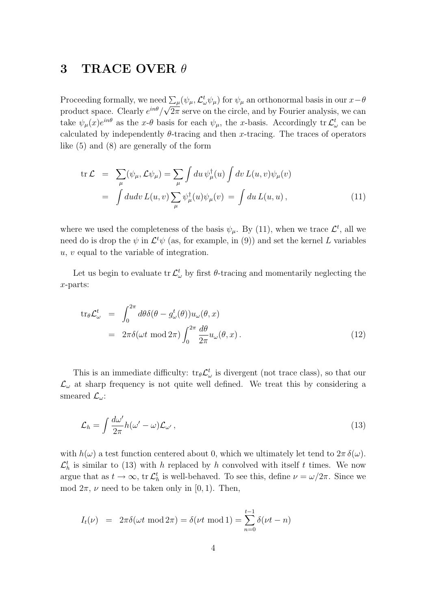## 3 TRACE OVER  $\theta$

Proceeding formally, we need  $\sum_{\mu} (\psi_{\mu}, \mathcal{L}_{\omega}^{t} \psi_{\mu})$  for  $\psi_{\mu}$  an orthonormal basis in our  $x-\theta$ product space. Clearly  $e^{in\theta}/\sqrt{2\pi}$  serve on the circle, and by Fourier analysis, we can take  $\psi_{\mu}(x)e^{in\theta}$  as the x- $\theta$  basis for each  $\psi_{\mu}$ , the x-basis. Accordingly tr $\mathcal{L}^{t}_{\omega}$  can be calculated by independently  $\theta$ -tracing and then x-tracing. The traces of operators like (5) and (8) are generally of the form

$$
\text{tr}\,\mathcal{L} = \sum_{\mu} (\psi_{\mu}, \mathcal{L}\psi_{\mu}) = \sum_{\mu} \int du \,\psi_{\mu}^{\dagger}(u) \int dv \, L(u, v)\psi_{\mu}(v)
$$
\n
$$
= \int du dv \, L(u, v) \sum_{\mu} \psi_{\mu}^{\dagger}(u)\psi_{\mu}(v) = \int du \, L(u, u) \,, \tag{11}
$$

where we used the completeness of the basis  $\psi_{\mu}$ . By (11), when we trace  $\mathcal{L}^{t}$ , all we need do is drop the  $\psi$  in  $\mathcal{L}^t\psi$  (as, for example, in (9)) and set the kernel L variables u, v equal to the variable of integration.

Let us begin to evaluate  $\text{tr } \mathcal{L}^t_\omega$  by first  $\theta$ -tracing and momentarily neglecting the x-parts:

$$
\text{tr}_{\theta} \mathcal{L}_{\omega}^{t} = \int_{0}^{2\pi} d\theta \delta(\theta - g_{\omega}^{t}(\theta)) u_{\omega}(\theta, x)
$$
  
=  $2\pi \delta(\omega t \mod 2\pi) \int_{0}^{2\pi} \frac{d\theta}{2\pi} u_{\omega}(\theta, x).$  (12)

This is an immediate difficulty:  $tr_{\theta} \mathcal{L}_{\omega}^{t}$  is divergent (not trace class), so that our  $\mathcal{L}_{\omega}$  at sharp frequency is not quite well defined. We treat this by considering a smeared  $\mathcal{L}_{\omega}$ :

$$
\mathcal{L}_h = \int \frac{d\omega'}{2\pi} h(\omega' - \omega) \mathcal{L}_{\omega'}, \qquad (13)
$$

with  $h(\omega)$  a test function centered about 0, which we ultimately let tend to  $2\pi \delta(\omega)$ .  $\mathcal{L}_h^t$  is similar to (13) with h replaced by h convolved with itself t times. We now argue that as  $t \to \infty$ , tr  $\mathcal{L}_h^t$  is well-behaved. To see this, define  $\nu = \omega/2\pi$ . Since we mod  $2\pi$ ,  $\nu$  need to be taken only in [0, 1). Then,

$$
I_t(\nu) = 2\pi \delta(\omega t \mod 2\pi) = \delta(\nu t \mod 1) = \sum_{n=0}^{t-1} \delta(\nu t - n)
$$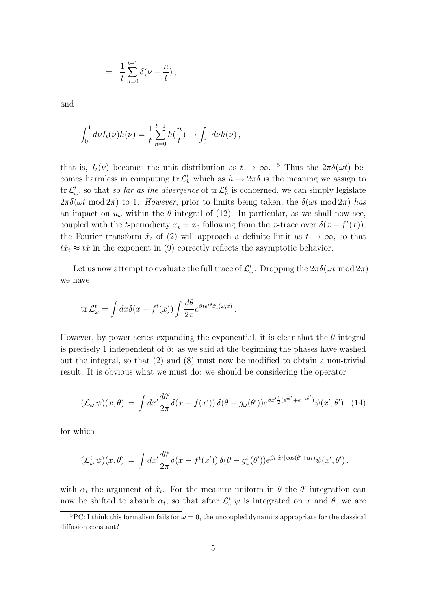$$
\ = \ \frac{1}{t} \sum_{n=0}^{t-1} \delta(\nu - \frac{n}{t}) \, ,
$$

and

$$
\int_0^1 d\nu I_t(\nu)h(\nu) = \frac{1}{t} \sum_{n=0}^{t-1} h(\frac{n}{t}) \to \int_0^1 d\nu h(\nu) ,
$$

that is,  $I_t(\nu)$  becomes the unit distribution as  $t \to \infty$ . <sup>5</sup> Thus the  $2\pi\delta(\omega t)$  becomes harmless in computing  $\text{tr } \mathcal{L}_h^t$  which as  $h \to 2\pi\delta$  is the meaning we assign to tr $\mathcal{L}^t_\omega$ , so that so far as the divergence of tr $\mathcal{L}^t_h$  is concerned, we can simply legislate  $2\pi\delta(\omega t \mod 2\pi)$  to 1. However, prior to limits being taken, the  $\delta(\omega t \mod 2\pi)$  has an impact on  $u_{\omega}$  within the  $\theta$  integral of (12). In particular, as we shall now see, coupled with the t-periodicity  $x_t = x_0$  following from the x-trace over  $\delta(x - f^t(x))$ , the Fourier transform  $\hat{x}_t$  of (2) will approach a definite limit as  $t \to \infty$ , so that  $t\hat{x}_t \approx t\hat{x}$  in the exponent in (9) correctly reflects the asymptotic behavior.

Let us now attempt to evaluate the full trace of  $\mathcal{L}^t_\omega$ . Dropping the  $2\pi\delta(\omega t\!\!\mod\!2\pi)$ we have

$$
\operatorname{tr}\mathcal{L}_{\omega}^{t} = \int dx \delta(x - f^{t}(x)) \int \frac{d\theta}{2\pi} e^{\beta t e^{i\theta} \hat{x}_{t}(\omega, x)}.
$$

However, by power series expanding the exponential, it is clear that the  $\theta$  integral is precisely 1 independent of  $\beta$ : as we said at the beginning the phases have washed out the integral, so that (2) and (8) must now be modified to obtain a non-trivial result. It is obvious what we must do: we should be considering the operator

$$
(\mathcal{L}_{\omega}\,\psi)(x,\theta) = \int dx' \frac{d\theta'}{2\pi} \delta(x - f(x')) \,\delta(\theta - g_{\omega}(\theta')) e^{\beta x' \frac{1}{2}(e^{i\theta'} + e^{-i\theta'})} \psi(x',\theta') \tag{14}
$$

for which

$$
(\mathcal{L}^t_\omega \,\psi)(x,\theta) = \int dx' \frac{d\theta'}{2\pi} \delta(x - f^t(x')) \,\delta(\theta - g^t_\omega(\theta')) e^{\beta t |\hat{x}_t| \cos(\theta' + \alpha_t)} \psi(x',\theta'),
$$

with  $\alpha_t$  the argument of  $\hat{x}_t$ . For the measure uniform in  $\theta$  the  $\theta'$  integration can now be shifted to absorb  $\alpha_t$ , so that after  $\mathcal{L}^t_\omega \psi$  is integrated on x and  $\theta$ , we are

<sup>&</sup>lt;sup>5</sup>PC: I think this formalism fails for  $\omega = 0$ , the uncoupled dynamics appropriate for the classical diffusion constant?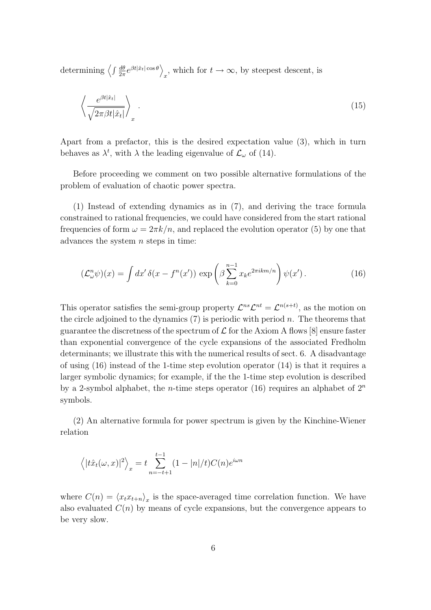determining  $\left\langle \int \frac{d\theta}{2\pi} \right\rangle$  $\frac{d\theta}{2\pi}e^{\beta t|\hat{x}_t|\cos\theta}\Big\rangle$  $_{x}$ , which for  $t \to \infty$ , by steepest descent, is

$$
\left\langle \frac{e^{\beta t |\hat{x}_t|}}{\sqrt{2\pi\beta t |\hat{x}_t|}} \right\rangle_x \,. \tag{15}
$$

Apart from a prefactor, this is the desired expectation value (3), which in turn behaves as  $\lambda^t$ , with  $\lambda$  the leading eigenvalue of  $\mathcal{L}_{\omega}$  of (14).

Before proceeding we comment on two possible alternative formulations of the problem of evaluation of chaotic power spectra.

(1) Instead of extending dynamics as in (7), and deriving the trace formula constrained to rational frequencies, we could have considered from the start rational frequencies of form  $\omega = 2\pi k/n$ , and replaced the evolution operator (5) by one that advances the system  $n$  steps in time:

$$
\left(\mathcal{L}^n_\omega\psi\right)(x) = \int dx' \,\delta(x - f^n(x'))\,\exp\left(\beta \sum_{k=0}^{n-1} x_k e^{2\pi i k m/n}\right)\psi(x').\tag{16}
$$

This operator satisfies the semi-group property  $\mathcal{L}^{ns}\mathcal{L}^{nt} = \mathcal{L}^{n(s+t)}$ , as the motion on the circle adjoined to the dynamics  $(7)$  is periodic with period n. The theorems that guarantee the discretness of the spectrum of  $\mathcal L$  for the Axiom A flows [8] ensure faster than exponential convergence of the cycle expansions of the associated Fredholm determinants; we illustrate this with the numerical results of sect. 6. A disadvantage of using  $(16)$  instead of the 1-time step evolution operator  $(14)$  is that it requires a larger symbolic dynamics; for example, if the the 1-time step evolution is described by a 2-symbol alphabet, the *n*-time steps operator (16) requires an alphabet of  $2^n$ symbols.

(2) An alternative formula for power spectrum is given by the Kinchine-Wiener relation

$$
\langle |t\hat{x}_t(\omega, x)|^2 \rangle_x = t \sum_{n=-t+1}^{t-1} (1 - |n|/t) C(n) e^{i\omega n}
$$

where  $C(n) = \langle x_t x_{t+n} \rangle_x$  is the space-averaged time correlation function. We have also evaluated  $C(n)$  by means of cycle expansions, but the convergence appears to be very slow.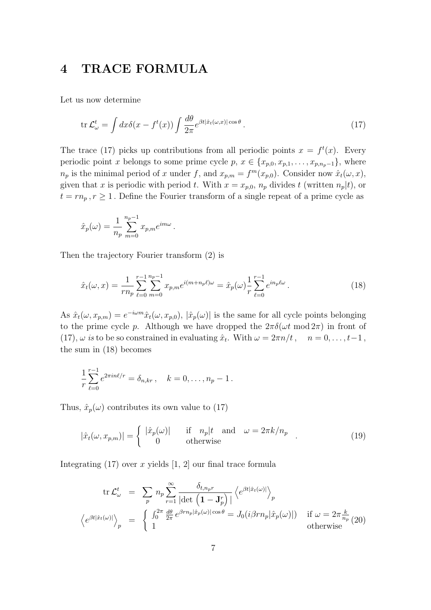# 4 TRACE FORMULA

Let us now determine

$$
\operatorname{tr}\mathcal{L}_{\omega}^{t} = \int dx \delta(x - f^{t}(x)) \int \frac{d\theta}{2\pi} e^{\beta t |\hat{x}_{t}(\omega, x)| \cos \theta}.
$$
 (17)

The trace (17) picks up contributions from all periodic points  $x = f<sup>t</sup>(x)$ . Every periodic point x belongs to some prime cycle p,  $x \in \{x_{p,0}, x_{p,1}, \ldots, x_{p,n_p-1}\}$ , where  $n_p$  is the minimal period of x under f, and  $x_{p,m} = f^m(x_{p,0})$ . Consider now  $\hat{x}_t(\omega, x)$ , given that x is periodic with period t. With  $x = x_{p,0}$ ,  $n_p$  divides t (written  $n_p(t)$ , or  $t = r n_p, r \ge 1$ . Define the Fourier transform of a single repeat of a prime cycle as

$$
\hat{x}_p(\omega) = \frac{1}{n_p} \sum_{m=0}^{n_p - 1} x_{p,m} e^{im\omega}.
$$

Then the trajectory Fourier transform (2) is

$$
\hat{x}_t(\omega, x) = \frac{1}{rn_p} \sum_{\ell=0}^{r-1} \sum_{m=0}^{n_p - 1} x_{p,m} e^{i(m+n_p \ell)\omega} = \hat{x}_p(\omega) \frac{1}{r} \sum_{\ell=0}^{r-1} e^{i n_p \ell \omega}.
$$
\n(18)

As  $\hat{x}_t(\omega, x_{p,m}) = e^{-i\omega m} \hat{x}_t(\omega, x_{p,0}), |\hat{x}_p(\omega)|$  is the same for all cycle points belonging to the prime cycle p. Although we have dropped the  $2\pi\delta(\omega t \mod 2\pi)$  in front of (17),  $\omega$  is to be so constrained in evaluating  $\hat{x}_t$ . With  $\omega = 2\pi n/t$ ,  $n = 0, \ldots, t-1$ , the sum in (18) becomes

$$
\frac{1}{r}\sum_{\ell=0}^{r-1}e^{2\pi i n\ell/r} = \delta_{n,kr}, \quad k = 0, \dots, n_p - 1.
$$

Thus,  $\hat{x}_p(\omega)$  contributes its own value to (17)

$$
|\hat{x}_t(\omega, x_{p,m})| = \begin{cases} |\hat{x}_p(\omega)| & \text{if } n_p|t \text{ and } \omega = 2\pi k/n_p \\ 0 & \text{otherwise} \end{cases}
$$
 (19)

Integrating  $(17)$  over x yields  $[1, 2]$  our final trace formula

$$
\operatorname{tr}\mathcal{L}_{\omega}^{t} = \sum_{p} n_{p} \sum_{r=1}^{\infty} \frac{\delta_{t,n_{p}r}}{\left|\det\left(1 - \mathbf{J}_{p}^{r}\right)\right|} \left\langle e^{\beta t |\hat{x}_{t}(\omega)|} \right\rangle_{p}
$$
\n
$$
\left\langle e^{\beta t |\hat{x}_{t}(\omega)|} \right\rangle_{p} = \begin{cases} \int_{0}^{2\pi} \frac{d\theta}{2\pi} e^{\beta r n_{p} |\hat{x}_{p}(\omega)| \cos \theta} = J_{0}(i\beta r n_{p} |\hat{x}_{p}(\omega)|) & \text{if } \omega = 2\pi \frac{k}{n_{p}} \ (20) \\ 1 & \text{otherwise} \end{cases}
$$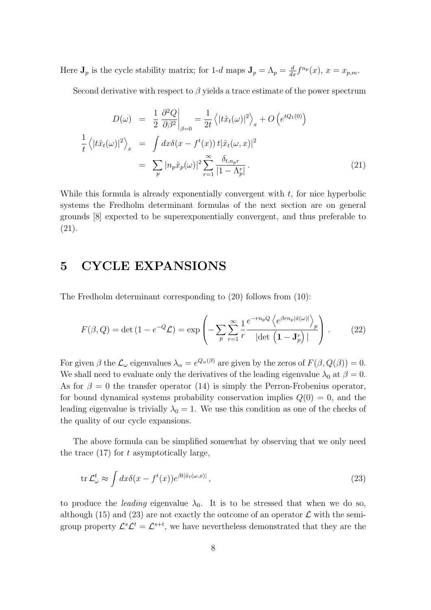Here  $J_p$  is the cycle stability matrix; for 1-d maps  $J_p = \Lambda_p = \frac{d}{dx} f^{n_p}(x)$ ,  $x = x_{p,m}$ .

Second derivative with respect to  $\beta$  yields a trace estimate of the power spectrum

$$
D(\omega) = \frac{1}{2} \frac{\partial^2 Q}{\partial \beta^2} \Big|_{\beta=0} = \frac{1}{2t} \left\langle |t\hat{x}_t(\omega)|^2 \right\rangle_x + O\left(e^{tQ_1(0)}\right)
$$

$$
\frac{1}{t} \left\langle |t\hat{x}_t(\omega)|^2 \right\rangle_x = \int dx \delta(x - f^t(x)) t|\hat{x}_t(\omega, x)|^2
$$

$$
= \sum_p |n_p \hat{x}_p(\omega)|^2 \sum_{r=1}^{\infty} \frac{\delta_{t, n_p r}}{|1 - \Lambda_p^r|}.
$$
(21)

While this formula is already exponentially convergent with  $t$ , for nice hyperbolic systems the Fredholm determinant formulas of the next section are on general grounds [8] expected to be superexponentially convergent, and thus preferable to (21).

### 5 CYCLE EXPANSIONS

The Fredholm determinant corresponding to (20) follows from (10):

$$
F(\beta, Q) = \det(1 - e^{-Q} \mathcal{L}) = \exp\left(-\sum_{p} \sum_{r=1}^{\infty} \frac{1}{r} \frac{e^{-r n_p Q} \left\langle e^{\beta r n_p |\hat{x}(\omega)|} \right\rangle_p}{|\det(\mathbf{1} - \mathbf{J}_p^r)|}\right).
$$
 (22)

For given  $\beta$  the  $\mathcal{L}_{\omega}$  eigenvalues  $\lambda_{\alpha} = e^{Q_{\alpha}(\beta)}$  are given by the zeros of  $F(\beta, Q(\beta)) = 0$ . We shall need to evaluate only the derivatives of the leading eigenvalue  $\lambda_0$  at  $\beta = 0$ . As for  $\beta = 0$  the transfer operator (14) is simply the Perron-Frobenius operator, for bound dynamical systems probability conservation implies  $Q(0) = 0$ , and the leading eigenvalue is trivially  $\lambda_0 = 1$ . We use this condition as one of the checks of the quality of our cycle expansions.

The above formula can be simplified somewhat by observing that we only need the trace  $(17)$  for t asymptotically large,

$$
\operatorname{tr}\mathcal{L}_{\omega}^{t} \approx \int dx \delta(x - f^{t}(x)) e^{\beta t |\hat{x}_{t}(\omega, x)|}, \qquad (23)
$$

to produce the *leading* eigenvalue  $\lambda_0$ . It is to be stressed that when we do so, although (15) and (23) are not exactly the outcome of an operator  $\mathcal L$  with the semigroup property  $\mathcal{L}^s \mathcal{L}^t = \mathcal{L}^{s+t}$ , we have nevertheless demonstrated that they are the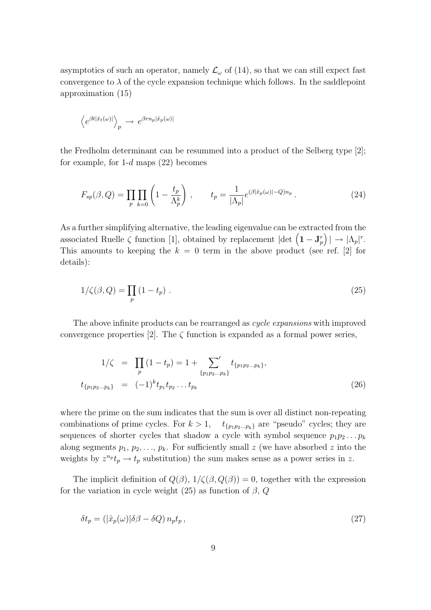asymptotics of such an operator, namely  $\mathcal{L}_{\omega}$  of (14), so that we can still expect fast convergence to  $\lambda$  of the cycle expansion technique which follows. In the saddlepoint approximation (15)

$$
\left\langle e^{\beta t |\hat{x}_t(\omega)|} \right\rangle_p \rightarrow e^{\beta r n_p |\hat{x}_p(\omega)|}
$$

the Fredholm determinant can be resummed into a product of the Selberg type [2]; for example, for  $1-d$  maps  $(22)$  becomes

$$
F_{sp}(\beta, Q) = \prod_{p} \prod_{k=0} \left( 1 - \frac{t_p}{\Lambda_p^k} \right) , \qquad t_p = \frac{1}{|\Lambda_p|} e^{(\beta|\hat{x}_p(\omega)| - Q)n_p} . \tag{24}
$$

As a further simplifying alternative, the leading eigenvalue can be extracted from the associated Ruelle  $\zeta$  function [1], obtained by replacement  $|\text{det}(\mathbf{1}-\mathbf{J}_p^r)| \to |\Lambda_p|^r$ . This amounts to keeping the  $k = 0$  term in the above product (see ref. [2] for details):

$$
1/\zeta(\beta, Q) = \prod_p (1 - t_p) \tag{25}
$$

The above infinite products can be rearranged as *cycle expansions* with improved convergence properties [2]. The  $\zeta$  function is expanded as a formal power series,

$$
1/\zeta = \prod_{p} (1 - t_p) = 1 + \sum_{\{p_1 p_2 \dots p_k\}}' t_{\{p_1 p_2 \dots p_k\}},
$$
  

$$
t_{\{p_1 p_2 \dots p_k\}} = (-1)^k t_{p_1} t_{p_2} \dots t_{p_k}
$$
 (26)

where the prime on the sum indicates that the sum is over all distinct non-repeating combinations of prime cycles. For  $k > 1$ ,  $t_{\{p_1p_2...p_k\}}$  are "pseudo" cycles; they are sequences of shorter cycles that shadow a cycle with symbol sequence  $p_1p_2 \ldots p_k$ along segments  $p_1, p_2, \ldots, p_k$ . For sufficiently small z (we have absorbed z into the weights by  $z^{n_p} t_p \to t_p$  substitution) the sum makes sense as a power series in z.

The implicit definition of  $Q(\beta)$ ,  $1/\zeta(\beta, Q(\beta)) = 0$ , together with the expression for the variation in cycle weight (25) as function of  $\beta$ ,  $Q$ 

$$
\delta t_p = (|\hat{x}_p(\omega)|\delta\beta - \delta Q) n_p t_p, \qquad (27)
$$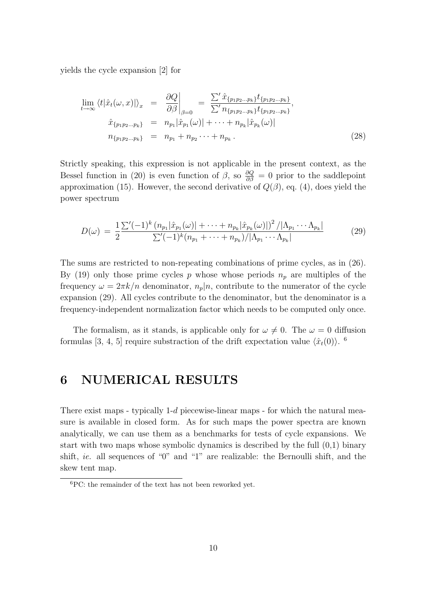yields the cycle expansion [2] for

$$
\lim_{t \to \infty} \langle t | \hat{x}_t(\omega, x) | \rangle_x = \frac{\partial Q}{\partial \beta} \Big|_{\beta=0} = \frac{\sum' \hat{x}_{\{p_1 p_2 \dots p_k\}} t_{\{p_1 p_2 \dots p_k\}}}{\sum' n_{\{p_1 p_2 \dots p_k\}} t_{\{p_1 p_2 \dots p_k\}}},
$$
\n
$$
\hat{x}_{\{p_1 p_2 \dots p_k\}} = n_{p_1} |\hat{x}_{p_1}(\omega)| + \dots + n_{p_k} |\hat{x}_{p_k}(\omega)|
$$
\n
$$
n_{\{p_1 p_2 \dots p_k\}} = n_{p_1} + n_{p_2} \dots + n_{p_k}.
$$
\n(28)

Strictly speaking, this expression is not applicable in the present context, as the Bessel function in (20) is even function of  $\beta$ , so  $\frac{\partial Q}{\partial \beta} = 0$  prior to the saddlepoint approximation (15). However, the second derivative of  $Q(\beta)$ , eq. (4), does yield the power spectrum

$$
D(\omega) = \frac{1}{2} \frac{\sum' (-1)^k (n_{p_1} |\hat{x}_{p_1}(\omega)| + \dots + n_{p_k} |\hat{x}_{p_k}(\omega)|)^2 / |\Lambda_{p_1} \cdots \Lambda_{p_k}|}{\sum' (-1)^k (n_{p_1} + \dots + n_{p_k}) / |\Lambda_{p_1} \cdots \Lambda_{p_k}|}
$$
(29)

The sums are restricted to non-repeating combinations of prime cycles, as in (26). By (19) only those prime cycles p whose whose periods  $n_p$  are multiples of the frequency  $\omega = 2\pi k/n$  denominator,  $n_p|n$ , contribute to the numerator of the cycle expansion (29). All cycles contribute to the denominator, but the denominator is a frequency-independent normalization factor which needs to be computed only once.

The formalism, as it stands, is applicable only for  $\omega \neq 0$ . The  $\omega = 0$  diffusion formulas [3, 4, 5] require substraction of the drift expectation value  $\langle \hat{x}_t(0) \rangle$ .

## 6 NUMERICAL RESULTS

There exist maps - typically 1-d piecewise-linear maps - for which the natural measure is available in closed form. As for such maps the power spectra are known analytically, we can use them as a benchmarks for tests of cycle expansions. We start with two maps whose symbolic dynamics is described by the full (0,1) binary shift, *ie.* all sequences of "0" and "1" are realizable: the Bernoulli shift, and the skew tent map.

<sup>6</sup>PC: the remainder of the text has not been reworked yet.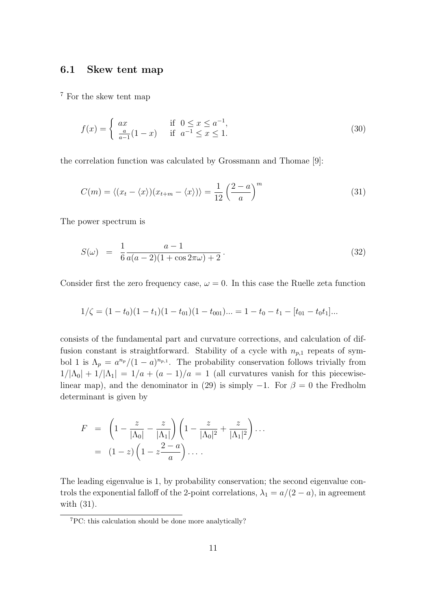#### 6.1 Skew tent map

<sup>7</sup> For the skew tent map

$$
f(x) = \begin{cases} ax & \text{if } 0 \le x \le a^{-1}, \\ \frac{a}{a-1}(1-x) & \text{if } a^{-1} \le x \le 1. \end{cases}
$$
 (30)

the correlation function was calculated by Grossmann and Thomae [9]:

$$
C(m) = \langle (x_t - \langle x \rangle)(x_{t+m} - \langle x \rangle) \rangle = \frac{1}{12} \left(\frac{2-a}{a}\right)^m \tag{31}
$$

The power spectrum is

$$
S(\omega) = \frac{1}{6} \frac{a-1}{a(a-2)(1+\cos 2\pi\omega) + 2}.
$$
 (32)

Consider first the zero frequency case,  $\omega = 0$ . In this case the Ruelle zeta function

$$
1/\zeta = (1-t_0)(1-t_1)(1-t_{01})(1-t_{001})\dots = 1-t_0-t_1-[t_{01}-t_0t_1]\dots
$$

consists of the fundamental part and curvature corrections, and calculation of diffusion constant is straightforward. Stability of a cycle with  $n_{p,1}$  repeats of symbol 1 is  $\Lambda_p = a^{n_p}/(1-a)^{n_{p,1}}$ . The probability conservation follows trivially from  $1/|\Lambda_0| + 1/|\Lambda_1| = 1/a + (a-1)/a = 1$  (all curvatures vanish for this piecewiselinear map), and the denominator in (29) is simply  $-1$ . For  $\beta = 0$  the Fredholm determinant is given by

$$
F = \left(1 - \frac{z}{|\Lambda_0|} - \frac{z}{|\Lambda_1|}\right) \left(1 - \frac{z}{|\Lambda_0|^2} + \frac{z}{|\Lambda_1|^2}\right) \cdots
$$
  
= 
$$
(1-z) \left(1 - z \frac{2-a}{a}\right) \cdots
$$

The leading eigenvalue is 1, by probability conservation; the second eigenvalue controls the exponential falloff of the 2-point correlations,  $\lambda_1 = a/(2 - a)$ , in agreement with (31).

<sup>7</sup>PC: this calculation should be done more analytically?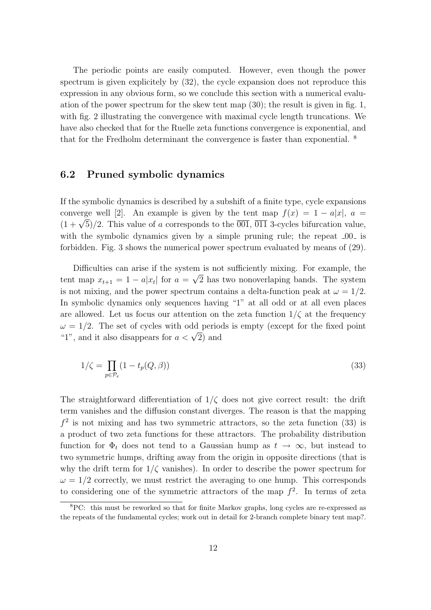The periodic points are easily computed. However, even though the power spectrum is given explicitely by (32), the cycle expansion does not reproduce this expression in any obvious form, so we conclude this section with a numerical evaluation of the power spectrum for the skew tent map (30); the result is given in fig. 1, with fig. 2 illustrating the convergence with maximal cycle length truncations. We have also checked that for the Ruelle zeta functions convergence is exponential, and that for the Fredholm determinant the convergence is faster than exponential. <sup>8</sup>

#### 6.2 Pruned symbolic dynamics

If the symbolic dynamics is described by a subshift of a finite type, cycle expansions converge well [2]. An example is given by the tent map  $f(x) = 1 - a|x|$ ,  $a =$ converge went [2]. An example is given by the tent map  $f(x) = 1 - a|x|$ ,  $a = (1 + \sqrt{5})/2$ . This value of a corresponds to the  $\overline{001}$ ,  $\overline{011}$  3-cycles bifurcation value, with the symbolic dynamics given by a simple pruning rule; the repeat  $0.01$  is forbidden. Fig. 3 shows the numerical power spectrum evaluated by means of (29).

Difficulties can arise if the system is not sufficiently mixing. For example, the tent map  $x_{t+1} = 1 - a|x_t|$  for  $a = \sqrt{2}$  has two nonoverlaping bands. The system is not mixing, and the power spectrum contains a delta-function peak at  $\omega = 1/2$ . In symbolic dynamics only sequences having "1" at all odd or at all even places are allowed. Let us focus our attention on the zeta function  $1/\zeta$  at the frequency  $\omega = 1/2$ . The set of cycles with odd periods is empty (except for the fixed point  $\omega = 1/2$ . The set of cycles with odd period<br>"1", and it also disappears for  $a < \sqrt{2}$ ) and

$$
1/\zeta = \prod_{p \in \mathcal{P}_e} (1 - t_p(Q, \beta))
$$
\n(33)

The straightforward differentiation of  $1/\zeta$  does not give correct result: the drift term vanishes and the diffusion constant diverges. The reason is that the mapping  $f<sup>2</sup>$  is not mixing and has two symmetric attractors, so the zeta function (33) is a product of two zeta functions for these attractors. The probability distribution function for  $\Phi_t$  does not tend to a Gaussian hump as  $t \to \infty$ , but instead to two symmetric humps, drifting away from the origin in opposite directions (that is why the drift term for  $1/\zeta$  vanishes). In order to describe the power spectrum for  $\omega = 1/2$  correctly, we must restrict the averaging to one hump. This corresponds to considering one of the symmetric attractors of the map  $f^2$ . In terms of zeta

<sup>8</sup>PC: this must be reworked so that for finite Markov graphs, long cycles are re-expressed as the repeats of the fundamental cycles; work out in detail for 2-branch complete binary tent map?.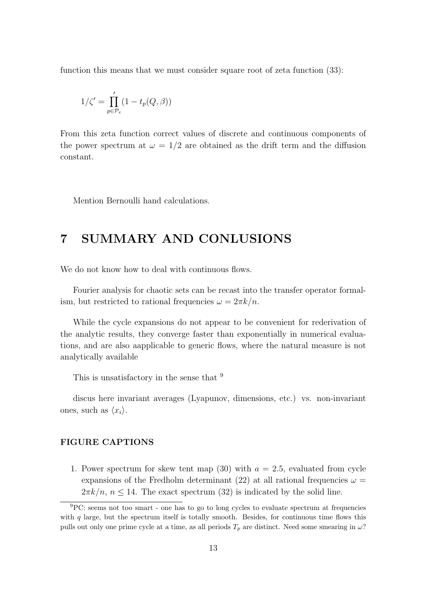function this means that we must consider square root of zeta function  $(33)$ :

$$
1/\zeta' = \prod_{p \in \mathcal{P}_e}' (1 - t_p(Q, \beta))
$$

From this zeta function correct values of discrete and continuous components of the power spectrum at  $\omega = 1/2$  are obtained as the drift term and the diffusion constant.

Mention Bernoulli hand calculations.

## 7 SUMMARY AND CONLUSIONS

We do not know how to deal with continuous flows.

Fourier analysis for chaotic sets can be recast into the transfer operator formalism, but restricted to rational frequencies  $\omega = 2\pi k/n$ .

While the cycle expansions do not appear to be convenient for rederivation of the analytic results, they converge faster than exponentially in numerical evaluations, and are also aapplicable to generic flows, where the natural measure is not analytically available

This is unsatisfactory in the sense that <sup>9</sup>

discus here invariant averages (Lyapunov, dimensions, etc.) vs. non-invariant ones, such as  $\langle x_i \rangle$ .

#### FIGURE CAPTIONS

1. Power spectrum for skew tent map (30) with  $a = 2.5$ , evaluated from cycle expansions of the Fredholm determinant (22) at all rational frequencies  $\omega =$  $2\pi k/n$ ,  $n \leq 14$ . The exact spectrum (32) is indicated by the solid line.

<sup>9</sup>PC: seems not too smart - one has to go to long cycles to evaluate spectrum at frequencies with  $q$  large, but the spectrum itself is totally smooth. Besides, for continuous time flows this pulls out only one prime cycle at a time, as all periods  $T_p$  are distinct. Need some smearing in  $\omega$ ?